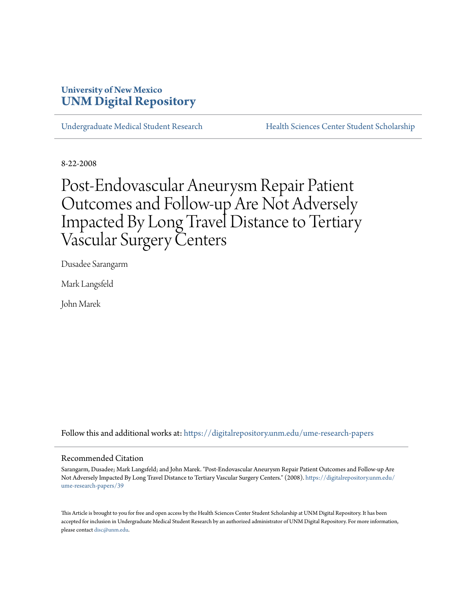### **University of New Mexico [UNM Digital Repository](https://digitalrepository.unm.edu?utm_source=digitalrepository.unm.edu%2Fume-research-papers%2F39&utm_medium=PDF&utm_campaign=PDFCoverPages)**

[Undergraduate Medical Student Research](https://digitalrepository.unm.edu/ume-research-papers?utm_source=digitalrepository.unm.edu%2Fume-research-papers%2F39&utm_medium=PDF&utm_campaign=PDFCoverPages) [Health Sciences Center Student Scholarship](https://digitalrepository.unm.edu/hsc-students?utm_source=digitalrepository.unm.edu%2Fume-research-papers%2F39&utm_medium=PDF&utm_campaign=PDFCoverPages)

8-22-2008

# Post-Endovascular Aneurysm Repair Patient Outcomes and Follow-up Are Not Adversely Impacted By Long Travel Distance to Tertiary Vascular Surgery Centers

Dusadee Sarangarm

Mark Langsfeld

John Marek

Follow this and additional works at: [https://digitalrepository.unm.edu/ume-research-papers](https://digitalrepository.unm.edu/ume-research-papers?utm_source=digitalrepository.unm.edu%2Fume-research-papers%2F39&utm_medium=PDF&utm_campaign=PDFCoverPages)

#### Recommended Citation

Sarangarm, Dusadee; Mark Langsfeld; and John Marek. "Post-Endovascular Aneurysm Repair Patient Outcomes and Follow-up Are Not Adversely Impacted By Long Travel Distance to Tertiary Vascular Surgery Centers." (2008). [https://digitalrepository.unm.edu/](https://digitalrepository.unm.edu/ume-research-papers/39?utm_source=digitalrepository.unm.edu%2Fume-research-papers%2F39&utm_medium=PDF&utm_campaign=PDFCoverPages) [ume-research-papers/39](https://digitalrepository.unm.edu/ume-research-papers/39?utm_source=digitalrepository.unm.edu%2Fume-research-papers%2F39&utm_medium=PDF&utm_campaign=PDFCoverPages)

This Article is brought to you for free and open access by the Health Sciences Center Student Scholarship at UNM Digital Repository. It has been accepted for inclusion in Undergraduate Medical Student Research by an authorized administrator of UNM Digital Repository. For more information, please contact [disc@unm.edu.](mailto:disc@unm.edu)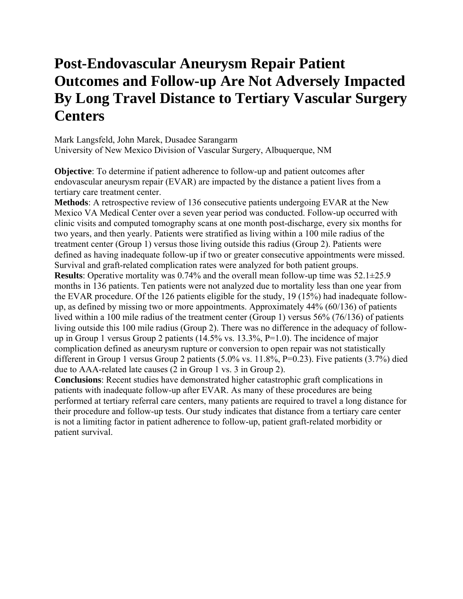## **Post-Endovascular Aneurysm Repair Patient Outcomes and Follow-up Are Not Adversely Impacted By Long Travel Distance to Tertiary Vascular Surgery Centers**

Mark Langsfeld, John Marek, Dusadee Sarangarm University of New Mexico Division of Vascular Surgery, Albuquerque, NM

**Objective**: To determine if patient adherence to follow-up and patient outcomes after endovascular aneurysm repair (EVAR) are impacted by the distance a patient lives from a tertiary care treatment center.

**Methods**: A retrospective review of 136 consecutive patients undergoing EVAR at the New Mexico VA Medical Center over a seven year period was conducted. Follow-up occurred with clinic visits and computed tomography scans at one month post-discharge, every six months for two years, and then yearly. Patients were stratified as living within a 100 mile radius of the treatment center (Group 1) versus those living outside this radius (Group 2). Patients were defined as having inadequate follow-up if two or greater consecutive appointments were missed. Survival and graft-related complication rates were analyzed for both patient groups. **Results**: Operative mortality was 0.74% and the overall mean follow-up time was 52.1±25.9 months in 136 patients. Ten patients were not analyzed due to mortality less than one year from the EVAR procedure. Of the 126 patients eligible for the study, 19 (15%) had inadequate followup, as defined by missing two or more appointments. Approximately 44% (60/136) of patients lived within a 100 mile radius of the treatment center (Group 1) versus 56% (76/136) of patients living outside this 100 mile radius (Group 2). There was no difference in the adequacy of followup in Group 1 versus Group 2 patients (14.5% vs. 13.3%, P=1.0). The incidence of major complication defined as aneurysm rupture or conversion to open repair was not statistically different in Group 1 versus Group 2 patients (5.0% vs. 11.8%, P=0.23). Five patients (3.7%) died due to AAA-related late causes (2 in Group 1 vs. 3 in Group 2).

**Conclusions**: Recent studies have demonstrated higher catastrophic graft complications in patients with inadequate follow-up after EVAR. As many of these procedures are being performed at tertiary referral care centers, many patients are required to travel a long distance for their procedure and follow-up tests. Our study indicates that distance from a tertiary care center is not a limiting factor in patient adherence to follow-up, patient graft-related morbidity or patient survival.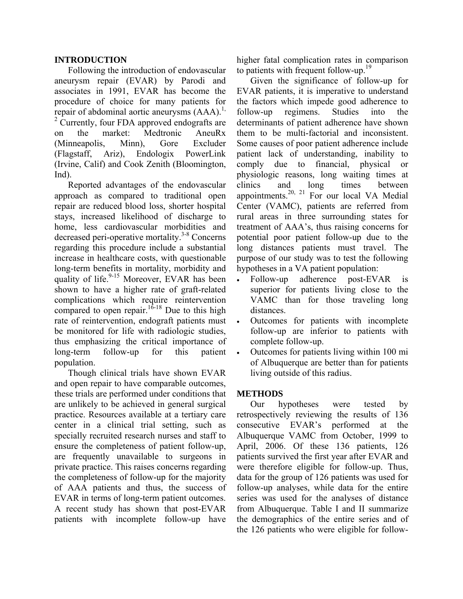#### **INTRODUCTION**

Following the introduction of endovascular aneurysm repair (EVAR) by Parodi and associates in 1991, EVAR has become the procedure of choice for many patients for repair of abdominal aortic aneurysms  $(AAA)$ <sup>1,</sup> <sup>2</sup> Currently, four FDA approved endografts are on the market: Medtronic AneuRx (Minneapolis, Minn), Gore Excluder (Flagstaff, Ariz), Endologix PowerLink (Irvine, Calif) and Cook Zenith (Bloomington, Ind).

Reported advantages of the endovascular approach as compared to traditional open repair are reduced blood loss, shorter hospital stays, increased likelihood of discharge to home, less cardiovascular morbidities and decreased peri-operative mortality.<sup>3-8</sup> Concerns regarding this procedure include a substantial increase in healthcare costs, with questionable long-term benefits in mortality, morbidity and quality of life. $9-15$  Moreover, EVAR has been shown to have a higher rate of graft-related complications which require reintervention compared to open repair.<sup>16-18</sup> Due to this high rate of reintervention, endograft patients must be monitored for life with radiologic studies, thus emphasizing the critical importance of long-term follow-up for this patient population.

Though clinical trials have shown EVAR and open repair to have comparable outcomes, these trials are performed under conditions that are unlikely to be achieved in general surgical practice. Resources available at a tertiary care center in a clinical trial setting, such as specially recruited research nurses and staff to ensure the completeness of patient follow-up, are frequently unavailable to surgeons in private practice. This raises concerns regarding the completeness of follow-up for the majority of AAA patients and thus, the success of EVAR in terms of long-term patient outcomes. A recent study has shown that post-EVAR patients with incomplete follow-up have

higher fatal complication rates in comparison to patients with frequent follow-up.<sup>19</sup>

Given the significance of follow-up for EVAR patients, it is imperative to understand the factors which impede good adherence to follow-up regimens. Studies into the determinants of patient adherence have shown them to be multi-factorial and inconsistent. Some causes of poor patient adherence include patient lack of understanding, inability to comply due to financial, physical or physiologic reasons, long waiting times at clinics and long times between appointments.<sup>20, 21</sup> For our local VA Medial Center (VAMC), patients are referred from rural areas in three surrounding states for treatment of AAA's, thus raising concerns for potential poor patient follow-up due to the long distances patients must travel. The purpose of our study was to test the following hypotheses in a VA patient population:

- Follow-up adherence post-EVAR is superior for patients living close to the VAMC than for those traveling long distances.
- Outcomes for patients with incomplete follow-up are inferior to patients with complete follow-up.
- Outcomes for patients living within 100 mi of Albuquerque are better than for patients living outside of this radius.

### **METHODS**

Our hypotheses were tested by retrospectively reviewing the results of 136 consecutive EVAR's performed at the Albuquerque VAMC from October, 1999 to April, 2006. Of these 136 patients, 126 patients survived the first year after EVAR and were therefore eligible for follow-up. Thus, data for the group of 126 patients was used for follow-up analyses, while data for the entire series was used for the analyses of distance from Albuquerque. Table I and II summarize the demographics of the entire series and of the 126 patients who were eligible for follow-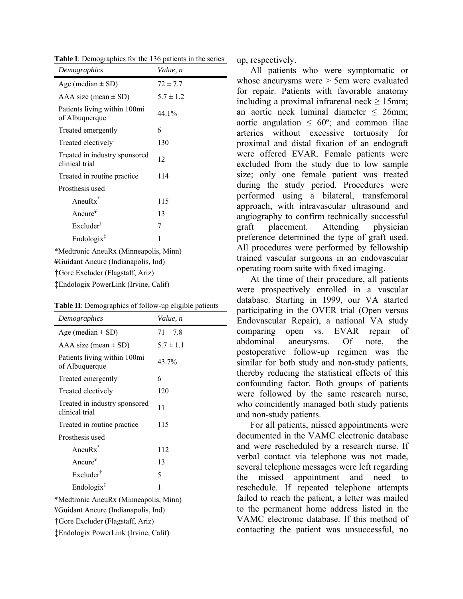**Table I**: Demographics for the 136 patients in the series

| Demographics                                    | Value, n      |  |  |
|-------------------------------------------------|---------------|--|--|
| Age (median $\pm$ SD)                           | $72 \pm 7.7$  |  |  |
| AAA size (mean $\pm$ SD)                        | $5.7 \pm 1.2$ |  |  |
| Patients living within 100mi<br>of Albuquerque  | 44.1%         |  |  |
| Treated emergently                              | 6             |  |  |
| Treated electively                              | 130           |  |  |
| Treated in industry sponsored<br>clinical trial | 12            |  |  |
| Treated in routine practice.                    | 114           |  |  |
| Prosthesis used                                 |               |  |  |
| Aneu $Rx^*$                                     | 115           |  |  |
| Ancure $*$                                      | 13            |  |  |
| Excluder <sup>†</sup>                           | 7             |  |  |
| Endologix <sup>†</sup>                          | 1             |  |  |
| *Medtronic AneuRx (Minneapolis, Minn)           |               |  |  |
| ¥Guidant Ancure (Indianapolis, Ind)             |               |  |  |

†Gore Excluder (Flagstaff, Ariz)

‡Endologix PowerLink (Irvine, Calif)

| Table II: Demographics of follow-up eligible patients |  |
|-------------------------------------------------------|--|
|-------------------------------------------------------|--|

| $\ldots$ $\ldots$ $\ldots$                      | $\sim$ 0.1 10.110 $\sim$ $\sim$ $\sim$ $\sim$ $\sim$ $\sim$ $\sim$ |  |  |
|-------------------------------------------------|--------------------------------------------------------------------|--|--|
| Demographics                                    | Value, n                                                           |  |  |
| Age (median $\pm$ SD)                           | $71 \pm 7.8$                                                       |  |  |
| AAA size (mean $\pm$ SD)                        | $5.7 \pm 1.1$                                                      |  |  |
| Patients living within 100mi<br>of Albuquerque  | 43.7%                                                              |  |  |
| Treated emergently                              | 6                                                                  |  |  |
| Treated electively                              | 120                                                                |  |  |
| Treated in industry sponsored<br>clinical trial | 11                                                                 |  |  |
| Treated in routine practice.                    | 115                                                                |  |  |
| Prosthesis used                                 |                                                                    |  |  |
| Aneu $Rx^*$                                     | 112                                                                |  |  |
| Ancure <sup><math>#</math></sup>                | 13                                                                 |  |  |
| $Excluster^{\dagger}$                           | 5                                                                  |  |  |
| $Endologist^{\ddagger}$                         | 1                                                                  |  |  |
| *Medtronic AneuRx (Minneapolis, Minn)           |                                                                    |  |  |
| ¥Guidant Ancure (Indianapolis, Ind)             |                                                                    |  |  |
| †Gore Excluder (Flagstaff, Ariz)                |                                                                    |  |  |

‡Endologix PowerLink (Irvine, Calif)

up, respectively.

All patients who were symptomatic or whose aneurysms were > 5cm were evaluated for repair. Patients with favorable anatomy including a proximal infrarenal neck  $> 15$ mm; an aortic neck luminal diameter  $\leq$  26mm; aortic angulation  $\leq 60^{\circ}$ ; and common iliac arteries without excessive tortuosity for proximal and distal fixation of an endograft were offered EVAR. Female patients were excluded from the study due to low sample size; only one female patient was treated during the study period. Procedures were performed using a bilateral, transfemoral approach, with intravascular ultrasound and angiography to confirm technically successful graft placement. Attending physician preference determined the type of graft used. All procedures were performed by fellowship trained vascular surgeons in an endovascular operating room suite with fixed imaging.

At the time of their procedure, all patients were prospectively enrolled in a vascular database. Starting in 1999, our VA started participating in the OVER trial (Open versus Endovascular Repair), a national VA study comparing open vs. EVAR repair of abdominal aneurysms. Of note, the postoperative follow-up regimen was the similar for both study and non-study patients, thereby reducing the statistical effects of this confounding factor. Both groups of patients were followed by the same research nurse, who coincidently managed both study patients and non-study patients.

For all patients, missed appointments were documented in the VAMC electronic database and were rescheduled by a research nurse. If verbal contact via telephone was not made, several telephone messages were left regarding the missed appointment and need to reschedule. If repeated telephone attempts failed to reach the patient, a letter was mailed to the permanent home address listed in the VAMC electronic database. If this method of contacting the patient was unsuccessful, no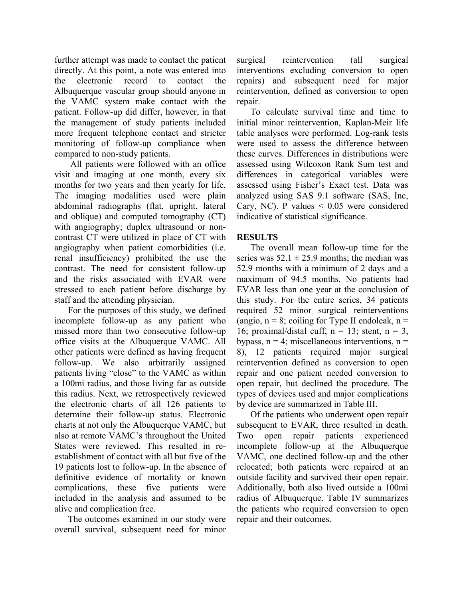further attempt was made to contact the patient directly. At this point, a note was entered into the electronic record to contact the Albuquerque vascular group should anyone in the VAMC system make contact with the patient. Follow-up did differ, however, in that the management of study patients included more frequent telephone contact and stricter monitoring of follow-up compliance when compared to non-study patients.

 All patients were followed with an office visit and imaging at one month, every six months for two years and then yearly for life. The imaging modalities used were plain abdominal radiographs (flat, upright, lateral and oblique) and computed tomography (CT) with angiography; duplex ultrasound or noncontrast CT were utilized in place of CT with angiography when patient comorbidities (i.e. renal insufficiency) prohibited the use the contrast. The need for consistent follow-up and the risks associated with EVAR were stressed to each patient before discharge by staff and the attending physician.

For the purposes of this study, we defined incomplete follow-up as any patient who missed more than two consecutive follow-up office visits at the Albuquerque VAMC. All other patients were defined as having frequent follow-up. We also arbitrarily assigned patients living "close" to the VAMC as within a 100mi radius, and those living far as outside this radius. Next, we retrospectively reviewed the electronic charts of all 126 patients to determine their follow-up status. Electronic charts at not only the Albuquerque VAMC, but also at remote VAMC's throughout the United States were reviewed. This resulted in reestablishment of contact with all but five of the 19 patients lost to follow-up. In the absence of definitive evidence of mortality or known complications, these five patients were included in the analysis and assumed to be alive and complication free.

The outcomes examined in our study were overall survival, subsequent need for minor surgical reintervention (all surgical interventions excluding conversion to open repairs) and subsequent need for major reintervention, defined as conversion to open repair.

To calculate survival time and time to initial minor reintervention, Kaplan-Meir life table analyses were performed. Log-rank tests were used to assess the difference between these curves. Differences in distributions were assessed using Wilcoxon Rank Sum test and differences in categorical variables were assessed using Fisher's Exact test. Data was analyzed using SAS 9.1 software (SAS, Inc, Cary, NC). P values  $\leq 0.05$  were considered indicative of statistical significance.

#### **RESULTS**

The overall mean follow-up time for the series was  $52.1 \pm 25.9$  months; the median was 52.9 months with a minimum of 2 days and a maximum of 94.5 months. No patients had EVAR less than one year at the conclusion of this study. For the entire series, 34 patients required 52 minor surgical reinterventions (angio,  $n = 8$ ; coiling for Type II endoleak,  $n =$ 16; proximal/distal cuff,  $n = 13$ ; stent,  $n = 3$ , bypass,  $n = 4$ ; miscellaneous interventions,  $n =$ 8), 12 patients required major surgical reintervention defined as conversion to open repair and one patient needed conversion to open repair, but declined the procedure. The types of devices used and major complications by device are summarized in Table III.

Of the patients who underwent open repair subsequent to EVAR, three resulted in death. Two open repair patients experienced incomplete follow-up at the Albuquerque VAMC, one declined follow-up and the other relocated; both patients were repaired at an outside facility and survived their open repair. Additionally, both also lived outside a 100mi radius of Albuquerque. Table IV summarizes the patients who required conversion to open repair and their outcomes.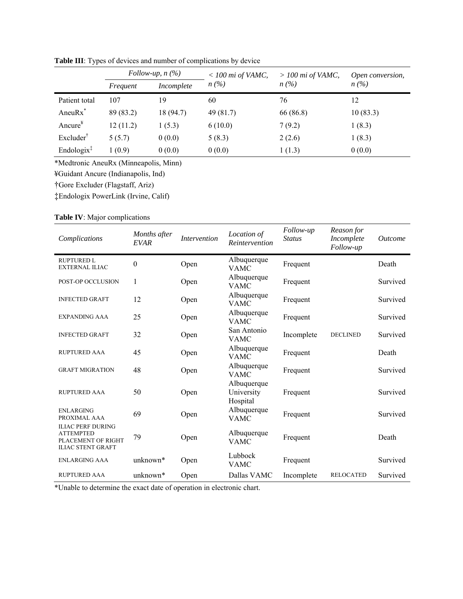|                         | Follow-up, $n(\%)$ |            | $<$ 100 mi of VAMC, | $> 100$ mi of VAMC,           | Open conversion, |  |
|-------------------------|--------------------|------------|---------------------|-------------------------------|------------------|--|
|                         | Frequent           | Incomplete | $n(\%)$             | $n\left(\frac{\%}{\%}\right)$ | $n(\%)$          |  |
| Patient total           | 107                | 19         | 60                  | 76                            | 12               |  |
| Aneu $Rx^*$             | 89 (83.2)          | 18 (94.7)  | 49 (81.7)           | 66 (86.8)                     | 10(83.3)         |  |
| Ancure $*$              | 12(11.2)           | 1(5.3)     | 6(10.0)             | 7(9.2)                        | 1(8.3)           |  |
| Excluder <sup>†</sup>   | 5(5.7)             | 0(0.0)     | 5(8.3)              | 2(2.6)                        | 1(8.3)           |  |
| $Endologist^{\ddagger}$ | 1(0.9)             | 0(0.0)     | 0(0.0)              | 1(1.3)                        | 0(0.0)           |  |

**Table III**: Types of devices and number of complications by device

\*Medtronic AneuRx (Minneapolis, Minn)

¥Guidant Ancure (Indianapolis, Ind)

†Gore Excluder (Flagstaff, Ariz)

‡Endologix PowerLink (Irvine, Calif)

#### **Table IV**: Major complications

| Complications                                                                                  | Months after<br><b>EVAR</b> | <b>Intervention</b> | Location of<br>Reintervention         | Follow-up<br><b>Status</b> | Reason for<br>Incomplete<br>Follow-up | <i><u>Outcome</u></i> |
|------------------------------------------------------------------------------------------------|-----------------------------|---------------------|---------------------------------------|----------------------------|---------------------------------------|-----------------------|
| <b>RUPTURED L</b><br><b>EXTERNAL ILIAC</b>                                                     | 0                           | Open                | Albuquerque<br><b>VAMC</b>            | Frequent                   |                                       | Death                 |
| POST-OP OCCLUSION                                                                              | 1                           | Open                | Albuquerque<br><b>VAMC</b>            | Frequent                   |                                       | Survived              |
| <b>INFECTED GRAFT</b>                                                                          | 12                          | Open                | Albuquerque<br><b>VAMC</b>            | Frequent                   |                                       | Survived              |
| <b>EXPANDING AAA</b>                                                                           | 25                          | Open                | Albuquerque<br><b>VAMC</b>            | Frequent                   |                                       | Survived              |
| <b>INFECTED GRAFT</b>                                                                          | 32                          | Open                | San Antonio<br><b>VAMC</b>            | Incomplete                 | <b>DECLINED</b>                       | Survived              |
| <b>RUPTURED AAA</b>                                                                            | 45                          | Open                | Albuquerque<br><b>VAMC</b>            | Frequent                   |                                       | Death                 |
| <b>GRAFT MIGRATION</b>                                                                         | 48                          | Open                | Albuquerque<br><b>VAMC</b>            | Frequent                   |                                       | Survived              |
| <b>RUPTURED AAA</b>                                                                            | 50                          | Open                | Albuquerque<br>University<br>Hospital | Frequent                   |                                       | Survived              |
| <b>ENLARGING</b><br>PROXIMAL AAA                                                               | 69                          | Open                | Albuquerque<br><b>VAMC</b>            | Frequent                   |                                       | Survived              |
| <b>ILIAC PERF DURING</b><br><b>ATTEMPTED</b><br>PLACEMENT OF RIGHT<br><b>ILIAC STENT GRAFT</b> | 79                          | Open                | Albuquerque<br><b>VAMC</b>            | Frequent                   |                                       | Death                 |
| <b>ENLARGING AAA</b>                                                                           | unknown*                    | Open                | Lubbock<br><b>VAMC</b>                | Frequent                   |                                       | Survived              |
| <b>RUPTURED AAA</b>                                                                            | unknown*                    | Open                | Dallas VAMC                           | Incomplete                 | <b>RELOCATED</b>                      | Survived              |

\*Unable to determine the exact date of operation in electronic chart.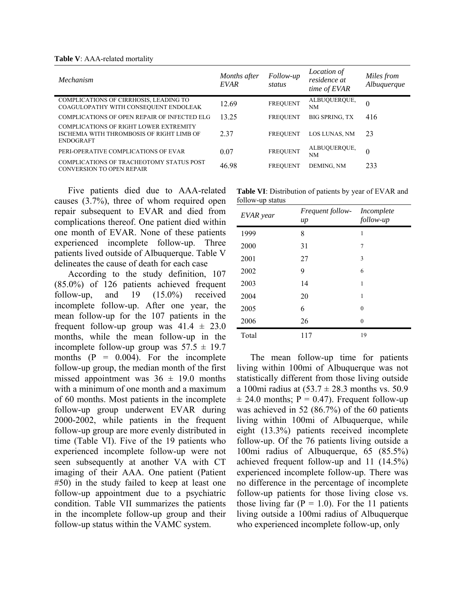**Table V**: AAA-related mortality

| <i>Mechanism</i>                                                                                               | Months after<br><i>EVAR</i> | Follow-up<br>status | Location of<br>residence at<br>time of EVAR | Miles from<br>Albuquerque |
|----------------------------------------------------------------------------------------------------------------|-----------------------------|---------------------|---------------------------------------------|---------------------------|
| COMPLICATIONS OF CIRRHOSIS, LEADING TO<br>COAGULOPATHY WITH CONSEQUENT ENDOLEAK                                | 12.69                       | <b>FREQUENT</b>     | ALBUQUERQUE,<br>NΜ                          | $\theta$                  |
| COMPLICATIONS OF OPEN REPAIR OF INFECTED ELG                                                                   | 13.25                       | <b>FREQUENT</b>     | <b>BIG SPRING. TX</b>                       | 416                       |
| <b>COMPLICATIONS OF RIGHT LOWER EXTREMITY</b><br>ISCHEMIA WITH THROMBOSIS OF RIGHT LIMB OF<br><b>ENDOGRAFT</b> | 2 3 7                       | <b>FREOUENT</b>     | <b>LOS LUNAS, NM</b>                        | 23                        |
| PERI-OPERATIVE COMPLICATIONS OF EVAR                                                                           | 0.07                        | <b>FREQUENT</b>     | ALBUQUERQUE,<br><b>NM</b>                   | $\theta$                  |
| COMPLICATIONS OF TRACHEOTOMY STATUS POST<br>CONVERSION TO OPEN REPAIR                                          | 46.98                       | <b>FREQUENT</b>     | DEMING, NM                                  | 233                       |

Five patients died due to AAA-related causes (3.7%), three of whom required open repair subsequent to EVAR and died from complications thereof. One patient died within one month of EVAR. None of these patients experienced incomplete follow-up. Three patients lived outside of Albuquerque. Table V delineates the cause of death for each case

According to the study definition, 107 (85.0%) of 126 patients achieved frequent follow-up, and 19 (15.0%) received incomplete follow-up. After one year, the mean follow-up for the 107 patients in the frequent follow-up group was  $41.4 \pm 23.0$ months, while the mean follow-up in the incomplete follow-up group was  $57.5 \pm 19.7$ months  $(P = 0.004)$ . For the incomplete follow-up group, the median month of the first missed appointment was  $36 \pm 19.0$  months with a minimum of one month and a maximum of 60 months. Most patients in the incomplete follow-up group underwent EVAR during 2000-2002, while patients in the frequent follow-up group are more evenly distributed in time (Table VI). Five of the 19 patients who experienced incomplete follow-up were not seen subsequently at another VA with CT imaging of their AAA. One patient (Patient #50) in the study failed to keep at least one follow-up appointment due to a psychiatric condition. Table VII summarizes the patients in the incomplete follow-up group and their follow-up status within the VAMC system.

**Table VI**: Distribution of patients by year of EVAR and follow-up status

| EVAR year | Frequent follow-<br>$\mu$ | Incomplete<br>follow-up |
|-----------|---------------------------|-------------------------|
| 1999      | 8                         | 1                       |
| 2000      | 31                        | 7                       |
| 2001      | 27                        | 3                       |
| 2002      | 9                         | 6                       |
| 2003      | 14                        | 1                       |
| 2004      | 20                        | 1                       |
| 2005      | 6                         | $\theta$                |
| 2006      | 26                        | $\theta$                |
| Total     | 117                       | 19                      |

The mean follow-up time for patients living within 100mi of Albuquerque was not statistically different from those living outside a 100mi radius at  $(53.7 \pm 28.3 \text{ months} \text{ vs. } 50.9)$  $\pm$  24.0 months; P = 0.47). Frequent follow-up was achieved in 52 (86.7%) of the 60 patients living within 100mi of Albuquerque, while eight (13.3%) patients received incomplete follow-up. Of the 76 patients living outside a 100mi radius of Albuquerque, 65 (85.5%) achieved frequent follow-up and 11 (14.5%) experienced incomplete follow-up. There was no difference in the percentage of incomplete follow-up patients for those living close vs. those living far  $(P = 1.0)$ . For the 11 patients living outside a 100mi radius of Albuquerque who experienced incomplete follow-up, only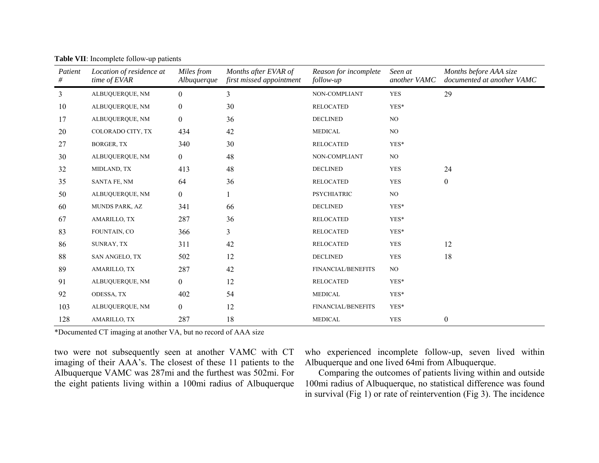| Patient<br># | Location of residence at<br>time of EVAR | Miles from<br>Albuquerque | Months after EVAR of<br>first missed appointment | Reason for incomplete<br>follow-up | Seen at<br>another VAMC | Months before AAA size<br>documented at another VAMC |
|--------------|------------------------------------------|---------------------------|--------------------------------------------------|------------------------------------|-------------------------|------------------------------------------------------|
| 3            | ALBUQUERQUE, NM                          | $\overline{0}$            | 3                                                | NON-COMPLIANT                      | <b>YES</b>              | 29                                                   |
| 10           | ALBUQUERQUE, NM                          | $\boldsymbol{0}$          | 30                                               | <b>RELOCATED</b>                   | YES*                    |                                                      |
| 17           | ALBUQUERQUE, NM                          | $\overline{0}$            | 36                                               | <b>DECLINED</b>                    | NO.                     |                                                      |
| 20           | COLORADO CITY, TX                        | 434                       | 42                                               | <b>MEDICAL</b>                     | NO                      |                                                      |
| 27           | <b>BORGER, TX</b>                        | 340                       | 30                                               | <b>RELOCATED</b>                   | YES*                    |                                                      |
| 30           | ALBUQUERQUE, NM                          | $\boldsymbol{0}$          | 48                                               | NON-COMPLIANT                      | NO.                     |                                                      |
| 32           | MIDLAND, TX                              | 413                       | 48                                               | <b>DECLINED</b>                    | <b>YES</b>              | 24                                                   |
| 35           | SANTA FE, NM                             | 64                        | 36                                               | <b>RELOCATED</b>                   | <b>YES</b>              | $\overline{0}$                                       |
| 50           | ALBUQUERQUE, NM                          | $\overline{0}$            |                                                  | <b>PSYCHIATRIC</b>                 | $_{\rm NO}$             |                                                      |
| 60           | MUNDS PARK, AZ                           | 341                       | 66                                               | <b>DECLINED</b>                    | YES*                    |                                                      |
| 67           | AMARILLO, TX                             | 287                       | 36                                               | <b>RELOCATED</b>                   | YES*                    |                                                      |
| 83           | FOUNTAIN, CO                             | 366                       | 3                                                | <b>RELOCATED</b>                   | YES*                    |                                                      |
| 86           | SUNRAY, TX                               | 311                       | 42                                               | <b>RELOCATED</b>                   | <b>YES</b>              | 12                                                   |
| 88           | SAN ANGELO, TX                           | 502                       | 12                                               | <b>DECLINED</b>                    | <b>YES</b>              | 18                                                   |
| 89           | AMARILLO, TX                             | 287                       | 42                                               | <b>FINANCIAL/BENEFITS</b>          | NO.                     |                                                      |
| 91           | ALBUQUERQUE, NM                          | $\boldsymbol{0}$          | 12                                               | <b>RELOCATED</b>                   | YES*                    |                                                      |
| 92           | ODESSA, TX                               | 402                       | 54                                               | <b>MEDICAL</b>                     | YES*                    |                                                      |
| 103          | ALBUQUERQUE, NM                          | $\overline{0}$            | 12                                               | FINANCIAL/BENEFITS                 | YES*                    |                                                      |
| 128          | AMARILLO, TX                             | 287                       | 18                                               | <b>MEDICAL</b>                     | <b>YES</b>              | $\mathbf{0}$                                         |

**Table VII**: Incomplete follow-up patients

\*Documented CT imaging at another VA, but no record of AAA size

two were not subsequently seen at another VAMC with CT imaging of their AAA's. The closest of these 11 patients to the Albuquerque VAMC was 287mi and the furthest was 502mi. For the eight patients living within a 100mi radius of Albuquerque who experienced incomplete follow-up, seven lived within Albuquerque and one lived 64mi from Albuquerque.

Comparing the outcomes of patients living within and outside 100mi radius of Albuquerque, no statistical difference was found in survival (Fig 1) or rate of reintervention (Fig 3). The incidence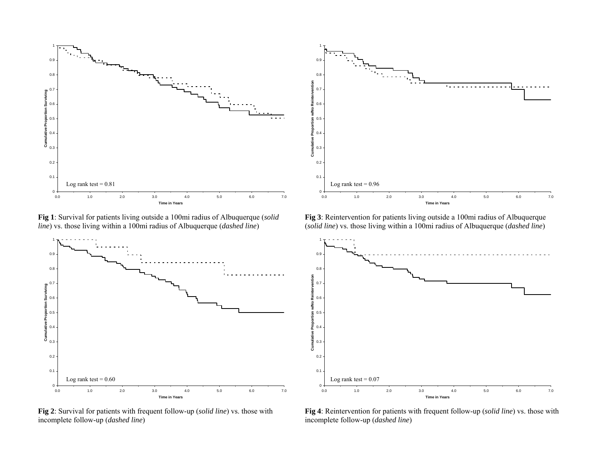

**Fig 1**: Survival for patients living outside a 100mi radius of Albuquerque (*solid line*) vs. those living within a 100mi radius of Albuquerque (*dashed line*)



**Fig 2**: Survival for patients with frequent follow-up (*solid line*) vs. those with incomplete follow-up (*dashed line*)



**Fig 3**: Reintervention for patients living outside a 100mi radius of Albuquerque (*solid line*) vs. those living within a 100mi radius of Albuquerque (*dashed line*)



**Fig 4**: Reintervention for patients with frequent follow-up (*solid line*) vs. those with incomplete follow-up (*dashed line*)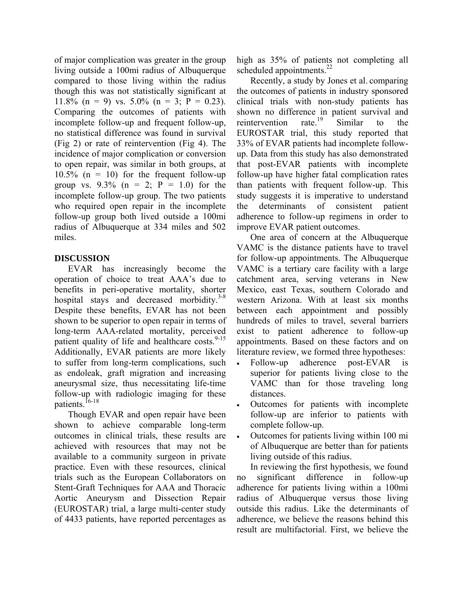of major complication was greater in the group living outside a 100mi radius of Albuquerque compared to those living within the radius though this was not statistically significant at 11.8% (n = 9) vs. 5.0% (n = 3; P = 0.23). Comparing the outcomes of patients with incomplete follow-up and frequent follow-up, no statistical difference was found in survival (Fig 2) or rate of reintervention (Fig 4). The incidence of major complication or conversion to open repair, was similar in both groups, at 10.5% ( $n = 10$ ) for the frequent follow-up group vs.  $9.3\%$  (n = 2; P = 1.0) for the incomplete follow-up group. The two patients who required open repair in the incomplete follow-up group both lived outside a 100mi radius of Albuquerque at 334 miles and 502 miles.

#### **DISCUSSION**

EVAR has increasingly become the operation of choice to treat AAA's due to benefits in peri-operative mortality, shorter hospital stays and decreased morbidity. $3-8$ Despite these benefits, EVAR has not been shown to be superior to open repair in terms of long-term AAA-related mortality, perceived patient quality of life and healthcare costs.  $9-15$ Additionally, EVAR patients are more likely to suffer from long-term complications, such as endoleak, graft migration and increasing aneurysmal size, thus necessitating life-time follow-up with radiologic imaging for these patients.<sup>16-18</sup>

Though EVAR and open repair have been shown to achieve comparable long-term outcomes in clinical trials, these results are achieved with resources that may not be available to a community surgeon in private practice. Even with these resources, clinical trials such as the European Collaborators on Stent-Graft Techniques for AAA and Thoracic Aortic Aneurysm and Dissection Repair (EUROSTAR) trial, a large multi-center study of 4433 patients, have reported percentages as high as 35% of patients not completing all scheduled appointments. $^{22}$ 

Recently, a study by Jones et al. comparing the outcomes of patients in industry sponsored clinical trials with non-study patients has shown no difference in patient survival and<br>reintervention rate.<sup>19</sup> Similar to the reintervention rate.<sup>19</sup> Similar to the EUROSTAR trial, this study reported that 33% of EVAR patients had incomplete followup. Data from this study has also demonstrated that post-EVAR patients with incomplete follow-up have higher fatal complication rates than patients with frequent follow-up. This study suggests it is imperative to understand the determinants of consistent patient adherence to follow-up regimens in order to improve EVAR patient outcomes.

One area of concern at the Albuquerque VAMC is the distance patients have to travel for follow-up appointments. The Albuquerque VAMC is a tertiary care facility with a large catchment area, serving veterans in New Mexico, east Texas, southern Colorado and western Arizona. With at least six months between each appointment and possibly hundreds of miles to travel, several barriers exist to patient adherence to follow-up appointments. Based on these factors and on literature review, we formed three hypotheses:

- Follow-up adherence post-EVAR is superior for patients living close to the VAMC than for those traveling long distances.
- Outcomes for patients with incomplete follow-up are inferior to patients with complete follow-up.
- Outcomes for patients living within 100 mi of Albuquerque are better than for patients living outside of this radius.

In reviewing the first hypothesis, we found no significant difference in follow-up adherence for patients living within a 100mi radius of Albuquerque versus those living outside this radius. Like the determinants of adherence, we believe the reasons behind this result are multifactorial. First, we believe the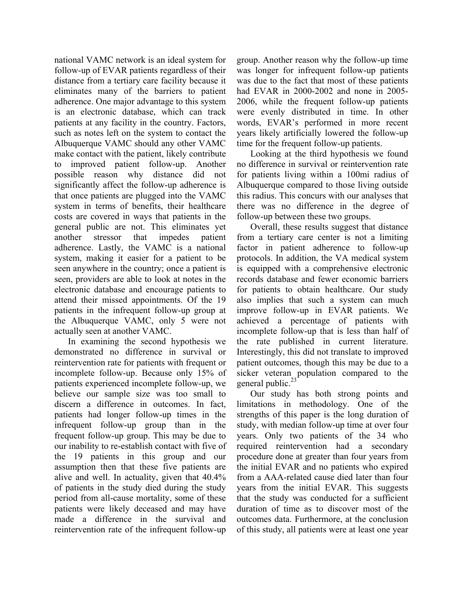national VAMC network is an ideal system for follow-up of EVAR patients regardless of their distance from a tertiary care facility because it eliminates many of the barriers to patient adherence. One major advantage to this system is an electronic database, which can track patients at any facility in the country. Factors, such as notes left on the system to contact the Albuquerque VAMC should any other VAMC make contact with the patient, likely contribute to improved patient follow-up. Another possible reason why distance did not significantly affect the follow-up adherence is that once patients are plugged into the VAMC system in terms of benefits, their healthcare costs are covered in ways that patients in the general public are not. This eliminates yet another stressor that impedes patient adherence. Lastly, the VAMC is a national system, making it easier for a patient to be seen anywhere in the country; once a patient is seen, providers are able to look at notes in the electronic database and encourage patients to attend their missed appointments. Of the 19 patients in the infrequent follow-up group at the Albuquerque VAMC, only 5 were not actually seen at another VAMC.

In examining the second hypothesis we demonstrated no difference in survival or reintervention rate for patients with frequent or incomplete follow-up. Because only 15% of patients experienced incomplete follow-up, we believe our sample size was too small to discern a difference in outcomes. In fact, patients had longer follow-up times in the infrequent follow-up group than in the frequent follow-up group. This may be due to our inability to re-establish contact with five of the 19 patients in this group and our assumption then that these five patients are alive and well. In actuality, given that 40.4% of patients in the study died during the study period from all-cause mortality, some of these patients were likely deceased and may have made a difference in the survival and reintervention rate of the infrequent follow-up

group. Another reason why the follow-up time was longer for infrequent follow-up patients was due to the fact that most of these patients had EVAR in 2000-2002 and none in 2005- 2006, while the frequent follow-up patients were evenly distributed in time. In other words, EVAR's performed in more recent years likely artificially lowered the follow-up time for the frequent follow-up patients.

Looking at the third hypothesis we found no difference in survival or reintervention rate for patients living within a 100mi radius of Albuquerque compared to those living outside this radius. This concurs with our analyses that there was no difference in the degree of follow-up between these two groups.

Overall, these results suggest that distance from a tertiary care center is not a limiting factor in patient adherence to follow-up protocols. In addition, the VA medical system is equipped with a comprehensive electronic records database and fewer economic barriers for patients to obtain healthcare. Our study also implies that such a system can much improve follow-up in EVAR patients. We achieved a percentage of patients with incomplete follow-up that is less than half of the rate published in current literature. Interestingly, this did not translate to improved patient outcomes, though this may be due to a sicker veteran population compared to the general public. $^{23}$ 

Our study has both strong points and limitations in methodology. One of the strengths of this paper is the long duration of study, with median follow-up time at over four years. Only two patients of the 34 who required reintervention had a secondary procedure done at greater than four years from the initial EVAR and no patients who expired from a AAA-related cause died later than four years from the initial EVAR. This suggests that the study was conducted for a sufficient duration of time as to discover most of the outcomes data. Furthermore, at the conclusion of this study, all patients were at least one year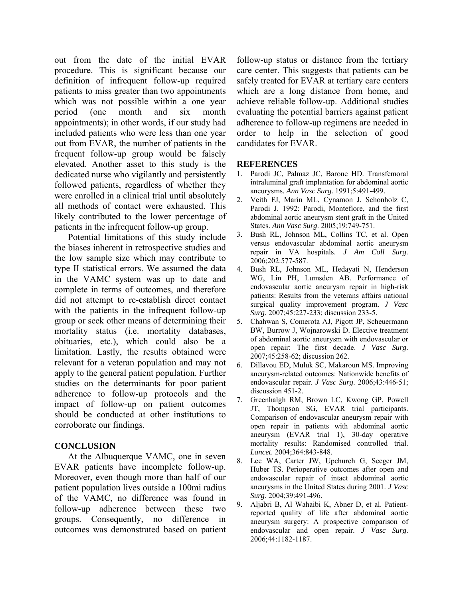out from the date of the initial EVAR procedure. This is significant because our definition of infrequent follow-up required patients to miss greater than two appointments which was not possible within a one year period (one month and six month appointments); in other words, if our study had included patients who were less than one year out from EVAR, the number of patients in the frequent follow-up group would be falsely elevated. Another asset to this study is the dedicated nurse who vigilantly and persistently followed patients, regardless of whether they were enrolled in a clinical trial until absolutely all methods of contact were exhausted. This likely contributed to the lower percentage of patients in the infrequent follow-up group.

Potential limitations of this study include the biases inherent in retrospective studies and the low sample size which may contribute to type II statistical errors. We assumed the data in the VAMC system was up to date and complete in terms of outcomes, and therefore did not attempt to re-establish direct contact with the patients in the infrequent follow-up group or seek other means of determining their mortality status (i.e. mortality databases, obituaries, etc.), which could also be a limitation. Lastly, the results obtained were relevant for a veteran population and may not apply to the general patient population. Further studies on the determinants for poor patient adherence to follow-up protocols and the impact of follow-up on patient outcomes should be conducted at other institutions to corroborate our findings.

#### **CONCLUSION**

At the Albuquerque VAMC, one in seven EVAR patients have incomplete follow-up. Moreover, even though more than half of our patient population lives outside a 100mi radius of the VAMC, no difference was found in follow-up adherence between these two groups. Consequently, no difference in outcomes was demonstrated based on patient

follow-up status or distance from the tertiary care center. This suggests that patients can be safely treated for EVAR at tertiary care centers which are a long distance from home, and achieve reliable follow-up. Additional studies evaluating the potential barriers against patient adherence to follow-up regimens are needed in order to help in the selection of good candidates for EVAR.

#### **REFERENCES**

- 1. Parodi JC, Palmaz JC, Barone HD. Transfemoral intraluminal graft implantation for abdominal aortic aneurysms. *Ann Vasc Surg*. 1991;5:491-499.
- 2. Veith FJ, Marin ML, Cynamon J, Schonholz C, Parodi J. 1992: Parodi, Montefiore, and the first abdominal aortic aneurysm stent graft in the United States. *Ann Vasc Surg*. 2005;19:749-751.
- 3. Bush RL, Johnson ML, Collins TC, et al. Open versus endovascular abdominal aortic aneurysm repair in VA hospitals. *J Am Coll Surg*. 2006;202:577-587.
- 4. Bush RL, Johnson ML, Hedayati N, Henderson WG, Lin PH, Lumsden AB. Performance of endovascular aortic aneurysm repair in high-risk patients: Results from the veterans affairs national surgical quality improvement program. *J Vasc Surg*. 2007;45:227-233; discussion 233-5.
- 5. Chahwan S, Comerota AJ, Pigott JP, Scheuermann BW, Burrow J, Wojnarowski D. Elective treatment of abdominal aortic aneurysm with endovascular or open repair: The first decade. *J Vasc Surg*. 2007;45:258-62; discussion 262.
- 6. Dillavou ED, Muluk SC, Makaroun MS. Improving aneurysm-related outcomes: Nationwide benefits of endovascular repair. *J Vasc Surg*. 2006;43:446-51; discussion 451-2.
- 7. Greenhalgh RM, Brown LC, Kwong GP, Powell JT, Thompson SG, EVAR trial participants. Comparison of endovascular aneurysm repair with open repair in patients with abdominal aortic aneurysm (EVAR trial 1), 30-day operative mortality results: Randomised controlled trial. *Lancet*. 2004;364:843-848.
- 8. Lee WA, Carter JW, Upchurch G, Seeger JM, Huber TS. Perioperative outcomes after open and endovascular repair of intact abdominal aortic aneurysms in the United States during 2001. *J Vasc Surg*. 2004;39:491-496.
- 9. Aljabri B, Al Wahaibi K, Abner D, et al. Patientreported quality of life after abdominal aortic aneurysm surgery: A prospective comparison of endovascular and open repair. *J Vasc Surg*. 2006;44:1182-1187.